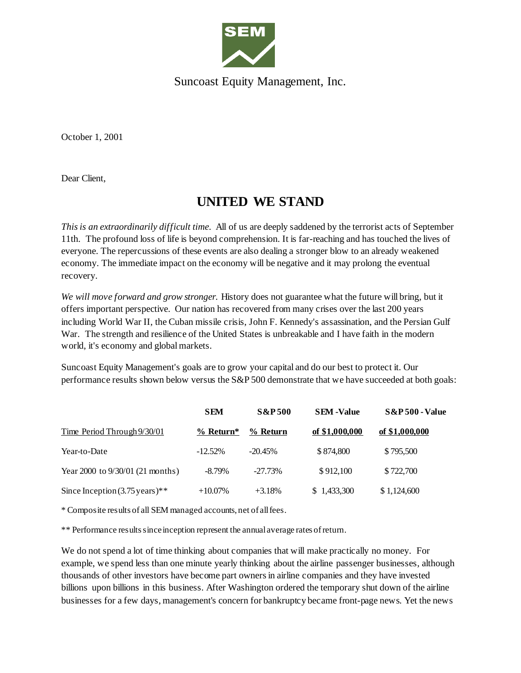

Suncoast Equity Management, Inc.

October 1, 2001

Dear Client,

## **UNITED WE STAND**

*This is an extraordinarily difficult time*. All of us are deeply saddened by the terrorist acts of September 11th. The profound loss of life is beyond comprehension. It is far-reaching and has touched the lives of everyone. The repercussions of these events are also dealing a stronger blow to an already weakened economy. The immediate impact on the economy will be negative and it may prolong the eventual recovery.

*We will move forward and grow stronger.* History does not guarantee what the future will bring, but it offers important perspective. Our nation has recovered from many crises over the last 200 years including World War II, the Cuban missile crisis, John F. Kennedy's assassination, and the Persian Gulf War. The strength and resilience of the United States is unbreakable and I have faith in the modern world, it's economy and global markets.

Suncoast Equity Management's goals are to grow your capital and do our best to protect it. Our performance results shown below versus the S&P 500 demonstrate that we have succeeded at both goals:

|                                           | <b>SEM</b>  | <b>S&amp;P500</b> | <b>SEM</b> -Value | <b>S&amp;P 500 - Value</b> |
|-------------------------------------------|-------------|-------------------|-------------------|----------------------------|
| Time Period Through 9/30/01               | $%$ Return* | % Return          | of \$1,000,000    | of \$1,000,000             |
| Year-to-Date                              | $-12.52\%$  | $-20.45\%$        | \$874,800         | \$795,500                  |
| Year 2000 to 9/30/01 (21 months)          | $-8.79\%$   | $-27.73%$         | \$912,100         | \$722,700                  |
| Since Inception $(3.75 \text{ years})$ ** | $+10.07\%$  | $+3.18%$          | \$1,433,300       | \$1,124,600                |

\* Composite results of all SEM managed accounts, net of all fees.

\*\* Performance results since inception represent the annual average rates of return.

We do not spend a lot of time thinking about companies that will make practically no money. For example, we spend less than one minute yearly thinking about the airline passenger businesses, although thousands of other investors have become part owners in airline companies and they have invested billions upon billions in this business. After Washington ordered the temporary shut down of the airline businesses for a few days, management's concern for bankruptcy became front-page news. Yet the news